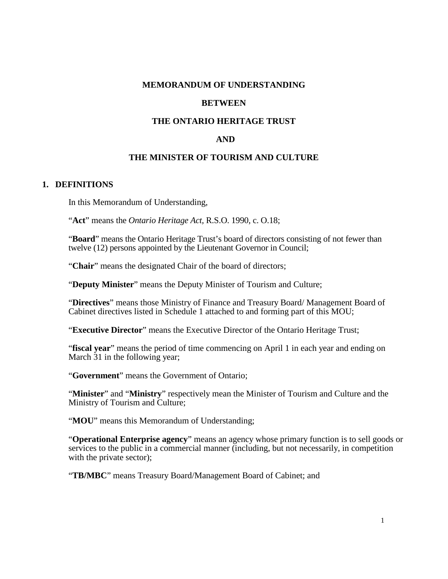#### **MEMORANDUM OF UNDERSTANDING**

#### **BETWEEN**

## **THE ONTARIO HERITAGE TRUST**

#### **AND**

#### **THE MINISTER OF TOURISM AND CULTURE**

#### **1. DEFINITIONS**

In this Memorandum of Understanding,

"**Act**" means the *Ontario Heritage Act,* R.S.O. 1990, c. O.18;

"**Board**" means the Ontario Heritage Trust's board of directors consisting of not fewer than twelve (12) persons appointed by the Lieutenant Governor in Council;

"**Chair**" means the designated Chair of the board of directors;

"**Deputy Minister**" means the Deputy Minister of Tourism and Culture;

"**Directives**" means those Ministry of Finance and Treasury Board/ Management Board of Cabinet directives listed in Schedule 1 attached to and forming part of this MOU;

"**Executive Director**" means the Executive Director of the Ontario Heritage Trust;

"**fiscal year**" means the period of time commencing on April 1 in each year and ending on March 31 in the following year;

"**Government**" means the Government of Ontario;

"**Minister**" and "**Ministry**" respectively mean the Minister of Tourism and Culture and the Ministry of Tourism and Culture;

"MOU" means this Memorandum of Understanding;

"**Operational Enterprise agency**" means an agency whose primary function is to sell goods or services to the public in a commercial manner (including, but not necessarily, in competition with the private sector);

"**TB/MBC**" means Treasury Board/Management Board of Cabinet; and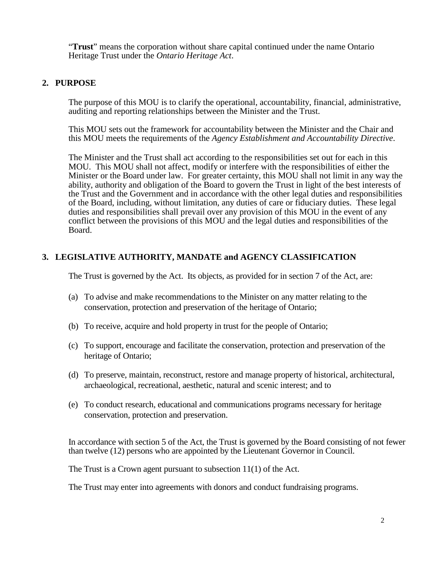"**Trust**" means the corporation without share capital continued under the name Ontario Heritage Trust under the *Ontario Heritage Act*.

## **2. PURPOSE**

The purpose of this MOU is to clarify the operational, accountability, financial, administrative, auditing and reporting relationships between the Minister and the Trust.

This MOU sets out the framework for accountability between the Minister and the Chair and this MOU meets the requirements of the *Agency Establishment and Accountability Directive*.

The Minister and the Trust shall act according to the responsibilities set out for each in this MOU. This MOU shall not affect, modify or interfere with the responsibilities of either the Minister or the Board under law. For greater certainty, this MOU shall not limit in any way the ability, authority and obligation of the Board to govern the Trust in light of the best interests of the Trust and the Government and in accordance with the other legal duties and responsibilities of the Board, including, without limitation, any duties of care or fiduciary duties. These legal duties and responsibilities shall prevail over any provision of this MOU in the event of any conflict between the provisions of this MOU and the legal duties and responsibilities of the Board.

## **3. LEGISLATIVE AUTHORITY, MANDATE and AGENCY CLASSIFICATION**

The Trust is governed by the Act. Its objects, as provided for in section 7 of the Act, are:

- (a) To advise and make recommendations to the Minister on any matter relating to the conservation, protection and preservation of the heritage of Ontario;
- (b) To receive, acquire and hold property in trust for the people of Ontario;
- (c) To support, encourage and facilitate the conservation, protection and preservation of the heritage of Ontario;
- (d) To preserve, maintain, reconstruct, restore and manage property of historical, architectural, archaeological, recreational, aesthetic, natural and scenic interest; and to
- (e) To conduct research, educational and communications programs necessary for heritage conservation, protection and preservation.

In accordance with section 5 of the Act, the Trust is governed by the Board consisting of not fewer than twelve (12) persons who are appointed by the Lieutenant Governor in Council.

The Trust is a Crown agent pursuant to subsection 11(1) of the Act.

The Trust may enter into agreements with donors and conduct fundraising programs.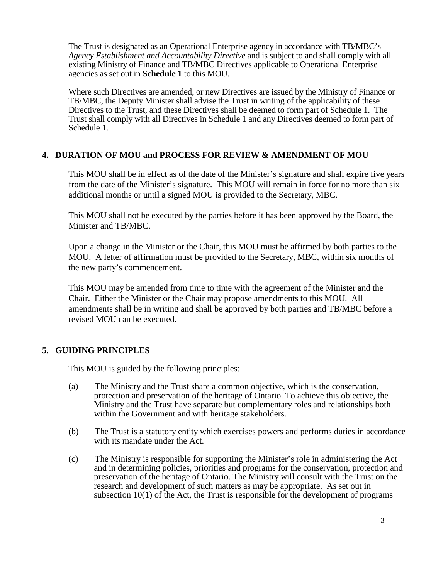The Trust is designated as an Operational Enterprise agency in accordance with TB/MBC's *Agency Establishment and Accountability Directive* and is subject to and shall comply with all existing Ministry of Finance and TB/MBC Directives applicable to Operational Enterprise agencies as set out in **Schedule 1** to this MOU.

Where such Directives are amended, or new Directives are issued by the Ministry of Finance or TB/MBC, the Deputy Minister shall advise the Trust in writing of the applicability of these Directives to the Trust, and these Directives shall be deemed to form part of Schedule 1. The Trust shall comply with all Directives in Schedule 1 and any Directives deemed to form part of Schedule 1.

## **4. DURATION OF MOU and PROCESS FOR REVIEW & AMENDMENT OF MOU**

This MOU shall be in effect as of the date of the Minister's signature and shall expire five years from the date of the Minister's signature. This MOU will remain in force for no more than six additional months or until a signed MOU is provided to the Secretary, MBC.

This MOU shall not be executed by the parties before it has been approved by the Board, the Minister and TB/MBC.

Upon a change in the Minister or the Chair, this MOU must be affirmed by both parties to the MOU. A letter of affirmation must be provided to the Secretary, MBC, within six months of the new party's commencement.

This MOU may be amended from time to time with the agreement of the Minister and the Chair. Either the Minister or the Chair may propose amendments to this MOU. All amendments shall be in writing and shall be approved by both parties and TB/MBC before a revised MOU can be executed.

## **5. GUIDING PRINCIPLES**

This MOU is guided by the following principles:

- (a) The Ministry and the Trust share a common objective, which is the conservation, protection and preservation of the heritage of Ontario. To achieve this objective, the Ministry and the Trust have separate but complementary roles and relationships both within the Government and with heritage stakeholders.
- (b) The Trust is a statutory entity which exercises powers and performs duties in accordance with its mandate under the Act.
- (c) The Ministry is responsible for supporting the Minister's role in administering the Act and in determining policies, priorities and programs for the conservation, protection and preservation of the heritage of Ontario. The Ministry will consult with the Trust on the research and development of such matters as may be appropriate. As set out in subsection 10(1) of the Act, the Trust is responsible for the development of programs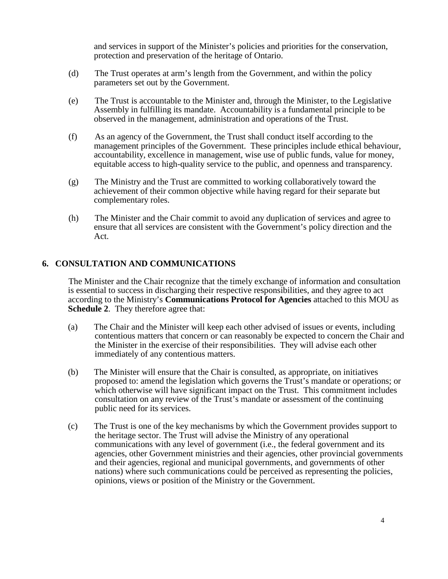and services in support of the Minister's policies and priorities for the conservation, protection and preservation of the heritage of Ontario.

- (d) The Trust operates at arm's length from the Government, and within the policy parameters set out by the Government.
- (e) The Trust is accountable to the Minister and, through the Minister, to the Legislative Assembly in fulfilling its mandate. Accountability is a fundamental principle to be observed in the management, administration and operations of the Trust.
- (f) As an agency of the Government, the Trust shall conduct itself according to the management principles of the Government. These principles include ethical behaviour, accountability, excellence in management, wise use of public funds, value for money, equitable access to high-quality service to the public, and openness and transparency.
- (g) The Ministry and the Trust are committed to working collaboratively toward the achievement of their common objective while having regard for their separate but complementary roles.
- (h) The Minister and the Chair commit to avoid any duplication of services and agree to ensure that all services are consistent with the Government's policy direction and the Act.

### **6. CONSULTATION AND COMMUNICATIONS**

 The Minister and the Chair recognize that the timely exchange of information and consultation is essential to success in discharging their respective responsibilities, and they agree to act according to the Ministry's **Communications Protocol for Agencies** attached to this MOU as **Schedule 2**. They therefore agree that:

- (a) The Chair and the Minister will keep each other advised of issues or events, including contentious matters that concern or can reasonably be expected to concern the Chair and the Minister in the exercise of their responsibilities. They will advise each other immediately of any contentious matters.
- (b) The Minister will ensure that the Chair is consulted, as appropriate, on initiatives proposed to: amend the legislation which governs the Trust's mandate or operations; or which otherwise will have significant impact on the Trust. This commitment includes consultation on any review of the Trust's mandate or assessment of the continuing public need for its services.
- (c) The Trust is one of the key mechanisms by which the Government provides support to the heritage sector. The Trust will advise the Ministry of any operational communications with any level of government (i.e., the federal government and its agencies, other Government ministries and their agencies, other provincial governments and their agencies, regional and municipal governments, and governments of other nations) where such communications could be perceived as representing the policies, opinions, views or position of the Ministry or the Government.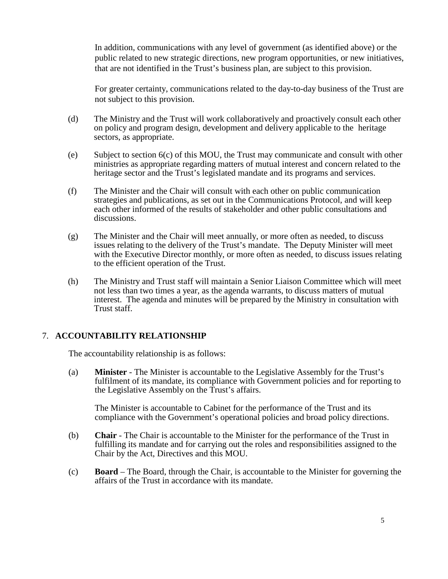In addition, communications with any level of government (as identified above) or the public related to new strategic directions, new program opportunities, or new initiatives, that are not identified in the Trust's business plan, are subject to this provision.

For greater certainty, communications related to the day-to-day business of the Trust are not subject to this provision.

- (d) The Ministry and the Trust will work collaboratively and proactively consult each other on policy and program design, development and delivery applicable to the heritage sectors, as appropriate.
- (e) Subject to section 6(c) of this MOU, the Trust may communicate and consult with other ministries as appropriate regarding matters of mutual interest and concern related to the heritage sector and the Trust's legislated mandate and its programs and services.
- (f) The Minister and the Chair will consult with each other on public communication strategies and publications, as set out in the Communications Protocol, and will keep each other informed of the results of stakeholder and other public consultations and discussions.
- (g) The Minister and the Chair will meet annually, or more often as needed, to discuss issues relating to the delivery of the Trust's mandate. The Deputy Minister will meet with the Executive Director monthly, or more often as needed, to discuss issues relating to the efficient operation of the Trust.
- (h) The Ministry and Trust staff will maintain a Senior Liaison Committee which will meet not less than two times a year, as the agenda warrants, to discuss matters of mutual interest. The agenda and minutes will be prepared by the Ministry in consultation with Trust staff.

## 7. **ACCOUNTABILITY RELATIONSHIP**

The accountability relationship is as follows:

(a) **Minister** - The Minister is accountable to the Legislative Assembly for the Trust's fulfilment of its mandate, its compliance with Government policies and for reporting to the Legislative Assembly on the Trust's affairs.

The Minister is accountable to Cabinet for the performance of the Trust and its compliance with the Government's operational policies and broad policy directions.

- (b) **Chair** The Chair is accountable to the Minister for the performance of the Trust in fulfilling its mandate and for carrying out the roles and responsibilities assigned to the Chair by the Act, Directives and this MOU.
- (c) **Board** The Board, through the Chair, is accountable to the Minister for governing the affairs of the Trust in accordance with its mandate.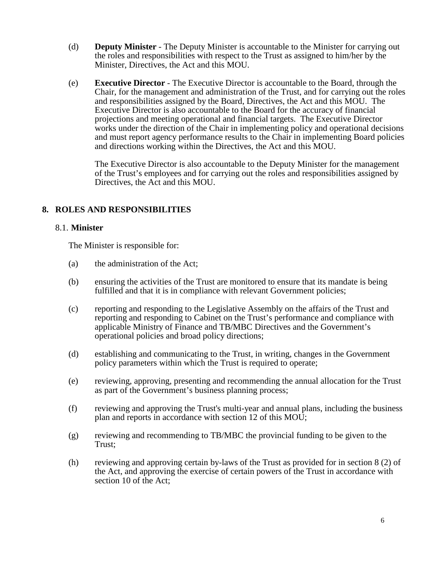- (d) **Deputy Minister** The Deputy Minister is accountable to the Minister for carrying out the roles and responsibilities with respect to the Trust as assigned to him/her by the Minister, Directives, the Act and this MOU.
- (e) **Executive Director** The Executive Director is accountable to the Board, through the Chair, for the management and administration of the Trust, and for carrying out the roles and responsibilities assigned by the Board, Directives, the Act and this MOU. The Executive Director is also accountable to the Board for the accuracy of financial projections and meeting operational and financial targets. The Executive Director works under the direction of the Chair in implementing policy and operational decisions and must report agency performance results to the Chair in implementing Board policies and directions working within the Directives, the Act and this MOU.

The Executive Director is also accountable to the Deputy Minister for the management of the Trust's employees and for carrying out the roles and responsibilities assigned by Directives, the Act and this MOU.

## **8. ROLES AND RESPONSIBILITIES**

## 8.1. **Minister**

The Minister is responsible for:

- (a) the administration of the Act;
- (b) ensuring the activities of the Trust are monitored to ensure that its mandate is being fulfilled and that it is in compliance with relevant Government policies;
- (c) reporting and responding to the Legislative Assembly on the affairs of the Trust and reporting and responding to Cabinet on the Trust's performance and compliance with applicable Ministry of Finance and TB/MBC Directives and the Government's operational policies and broad policy directions;
- (d) establishing and communicating to the Trust, in writing, changes in the Government policy parameters within which the Trust is required to operate;
- (e) reviewing, approving, presenting and recommending the annual allocation for the Trust as part of the Government's business planning process;
- (f) reviewing and approving the Trust's multi-year and annual plans, including the business plan and reports in accordance with section 12 of this MOU;
- (g) reviewing and recommending to TB/MBC the provincial funding to be given to the Trust;
- (h) reviewing and approving certain by-laws of the Trust as provided for in section 8 (2) of the Act, and approving the exercise of certain powers of the Trust in accordance with section 10 of the Act;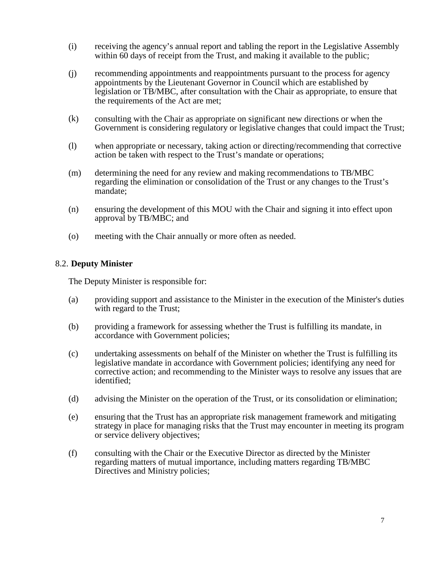- (i) receiving the agency's annual report and tabling the report in the Legislative Assembly within 60 days of receipt from the Trust, and making it available to the public;
- (j) recommending appointments and reappointments pursuant to the process for agency appointments by the Lieutenant Governor in Council which are established by legislation or TB/MBC, after consultation with the Chair as appropriate, to ensure that the requirements of the Act are met;
- (k) consulting with the Chair as appropriate on significant new directions or when the Government is considering regulatory or legislative changes that could impact the Trust;
- (l) when appropriate or necessary, taking action or directing/recommending that corrective action be taken with respect to the Trust's mandate or operations;
- (m) determining the need for any review and making recommendations to TB/MBC regarding the elimination or consolidation of the Trust or any changes to the Trust's mandate;
- (n) ensuring the development of this MOU with the Chair and signing it into effect upon approval by TB/MBC; and
- (o) meeting with the Chair annually or more often as needed.

#### 8.2. **Deputy Minister**

The Deputy Minister is responsible for:

- (a) providing support and assistance to the Minister in the execution of the Minister's duties with regard to the Trust;
- (b) providing a framework for assessing whether the Trust is fulfilling its mandate, in accordance with Government policies;
- (c) undertaking assessments on behalf of the Minister on whether the Trust is fulfilling its legislative mandate in accordance with Government policies; identifying any need for corrective action; and recommending to the Minister ways to resolve any issues that are identified;
- (d) advising the Minister on the operation of the Trust, or its consolidation or elimination;
- (e) ensuring that the Trust has an appropriate risk management framework and mitigating strategy in place for managing risks that the Trust may encounter in meeting its program or service delivery objectives;
- (f) consulting with the Chair or the Executive Director as directed by the Minister regarding matters of mutual importance, including matters regarding TB/MBC Directives and Ministry policies;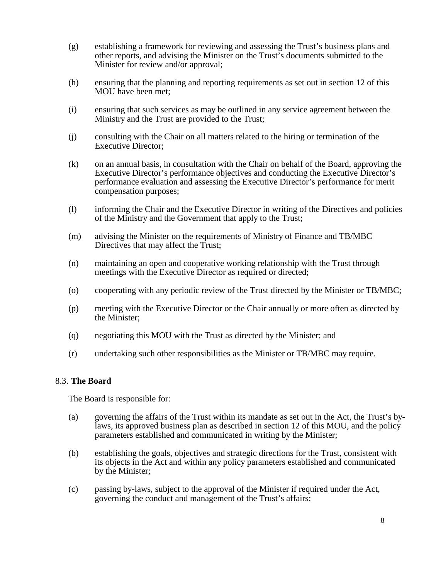- (g) establishing a framework for reviewing and assessing the Trust's business plans and other reports, and advising the Minister on the Trust's documents submitted to the Minister for review and/or approval;
- (h) ensuring that the planning and reporting requirements as set out in section 12 of this MOU have been met;
- (i) ensuring that such services as may be outlined in any service agreement between the Ministry and the Trust are provided to the Trust;
- (j) consulting with the Chair on all matters related to the hiring or termination of the Executive Director;
- (k) on an annual basis, in consultation with the Chair on behalf of the Board, approving the Executive Director's performance objectives and conducting the Executive Director's performance evaluation and assessing the Executive Director's performance for merit compensation purposes;
- (l) informing the Chair and the Executive Director in writing of the Directives and policies of the Ministry and the Government that apply to the Trust;
- (m) advising the Minister on the requirements of Ministry of Finance and TB/MBC Directives that may affect the Trust;
- (n) maintaining an open and cooperative working relationship with the Trust through meetings with the Executive Director as required or directed;
- (o) cooperating with any periodic review of the Trust directed by the Minister or TB/MBC;
- (p) meeting with the Executive Director or the Chair annually or more often as directed by the Minister;
- (q) negotiating this MOU with the Trust as directed by the Minister; and
- (r) undertaking such other responsibilities as the Minister or TB/MBC may require.

#### 8.3. **The Board**

The Board is responsible for:

- (a) governing the affairs of the Trust within its mandate as set out in the Act, the Trust's bylaws, its approved business plan as described in section 12 of this MOU, and the policy parameters established and communicated in writing by the Minister;
- (b) establishing the goals, objectives and strategic directions for the Trust, consistent with its objects in the Act and within any policy parameters established and communicated by the Minister;
- (c) passing by-laws, subject to the approval of the Minister if required under the Act, governing the conduct and management of the Trust's affairs;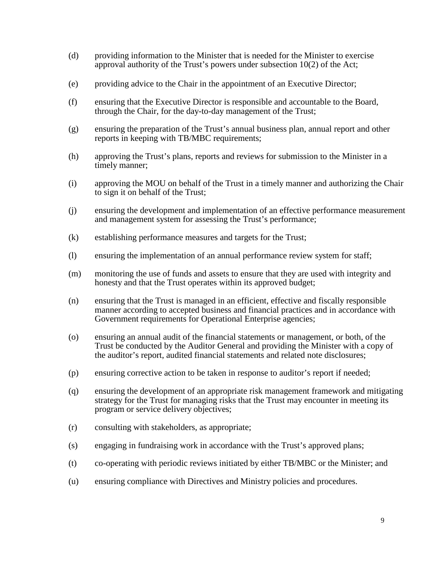- (d) providing information to the Minister that is needed for the Minister to exercise approval authority of the Trust's powers under subsection 10(2) of the Act;
- (e) providing advice to the Chair in the appointment of an Executive Director;
- (f) ensuring that the Executive Director is responsible and accountable to the Board, through the Chair, for the day-to-day management of the Trust;
- (g) ensuring the preparation of the Trust's annual business plan, annual report and other reports in keeping with TB/MBC requirements;
- (h) approving the Trust's plans, reports and reviews for submission to the Minister in a timely manner;
- (i) approving the MOU on behalf of the Trust in a timely manner and authorizing the Chair to sign it on behalf of the Trust;
- (j) ensuring the development and implementation of an effective performance measurement and management system for assessing the Trust's performance;
- (k) establishing performance measures and targets for the Trust;
- (l) ensuring the implementation of an annual performance review system for staff;
- (m) monitoring the use of funds and assets to ensure that they are used with integrity and honesty and that the Trust operates within its approved budget;
- (n) ensuring that the Trust is managed in an efficient, effective and fiscally responsible manner according to accepted business and financial practices and in accordance with Government requirements for Operational Enterprise agencies;
- (o) ensuring an annual audit of the financial statements or management, or both, of the Trust be conducted by the Auditor General and providing the Minister with a copy of the auditor's report, audited financial statements and related note disclosures;
- (p) ensuring corrective action to be taken in response to auditor's report if needed;
- (q) ensuring the development of an appropriate risk management framework and mitigating strategy for the Trust for managing risks that the Trust may encounter in meeting its program or service delivery objectives;
- (r) consulting with stakeholders, as appropriate;
- (s) engaging in fundraising work in accordance with the Trust's approved plans;
- (t) co-operating with periodic reviews initiated by either TB/MBC or the Minister; and
- (u) ensuring compliance with Directives and Ministry policies and procedures.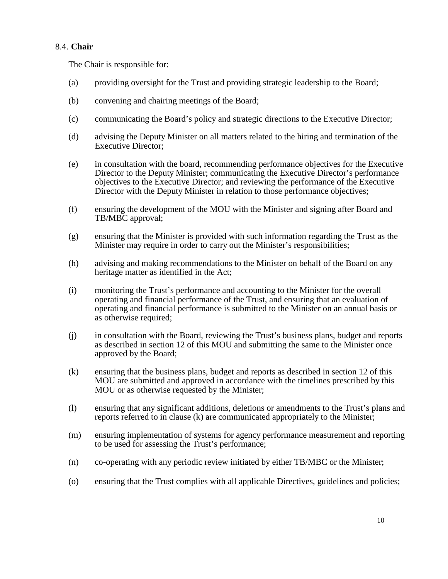## 8.4. **Chair**

The Chair is responsible for:

- (a) providing oversight for the Trust and providing strategic leadership to the Board;
- (b) convening and chairing meetings of the Board;
- (c) communicating the Board's policy and strategic directions to the Executive Director;
- (d) advising the Deputy Minister on all matters related to the hiring and termination of the Executive Director;
- (e) in consultation with the board, recommending performance objectives for the Executive Director to the Deputy Minister; communicating the Executive Director's performance objectives to the Executive Director; and reviewing the performance of the Executive Director with the Deputy Minister in relation to those performance objectives;
- (f) ensuring the development of the MOU with the Minister and signing after Board and TB/MBC approval;
- (g) ensuring that the Minister is provided with such information regarding the Trust as the Minister may require in order to carry out the Minister's responsibilities;
- (h) advising and making recommendations to the Minister on behalf of the Board on any heritage matter as identified in the Act;
- (i) monitoring the Trust's performance and accounting to the Minister for the overall operating and financial performance of the Trust, and ensuring that an evaluation of operating and financial performance is submitted to the Minister on an annual basis or as otherwise required;
- (j) in consultation with the Board, reviewing the Trust's business plans, budget and reports as described in section 12 of this MOU and submitting the same to the Minister once approved by the Board;
- (k) ensuring that the business plans, budget and reports as described in section 12 of this MOU are submitted and approved in accordance with the timelines prescribed by this MOU or as otherwise requested by the Minister;
- (l) ensuring that any significant additions, deletions or amendments to the Trust's plans and reports referred to in clause (k) are communicated appropriately to the Minister;
- (m) ensuring implementation of systems for agency performance measurement and reporting to be used for assessing the Trust's performance;
- (n) co-operating with any periodic review initiated by either TB/MBC or the Minister;
- (o) ensuring that the Trust complies with all applicable Directives, guidelines and policies;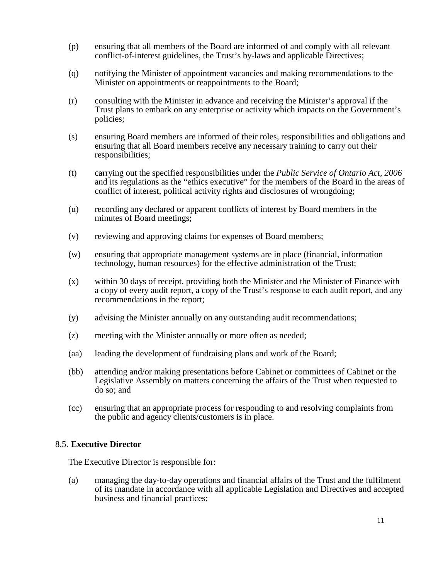- (p) ensuring that all members of the Board are informed of and comply with all relevant conflict-of-interest guidelines, the Trust's by-laws and applicable Directives;
- (q) notifying the Minister of appointment vacancies and making recommendations to the Minister on appointments or reappointments to the Board;
- (r) consulting with the Minister in advance and receiving the Minister's approval if the Trust plans to embark on any enterprise or activity which impacts on the Government's policies;
- (s) ensuring Board members are informed of their roles, responsibilities and obligations and ensuring that all Board members receive any necessary training to carry out their responsibilities;
- (t) carrying out the specified responsibilities under the *Public Service of Ontario Act, 2006* and its regulations as the "ethics executive" for the members of the Board in the areas of conflict of interest, political activity rights and disclosures of wrongdoing;
- (u) recording any declared or apparent conflicts of interest by Board members in the minutes of Board meetings;
- (v) reviewing and approving claims for expenses of Board members;
- (w) ensuring that appropriate management systems are in place (financial, information technology, human resources) for the effective administration of the Trust;
- (x) within 30 days of receipt, providing both the Minister and the Minister of Finance with a copy of every audit report, a copy of the Trust's response to each audit report, and any recommendations in the report;
- (y) advising the Minister annually on any outstanding audit recommendations;
- (z) meeting with the Minister annually or more often as needed;
- (aa) leading the development of fundraising plans and work of the Board;
- (bb) attending and/or making presentations before Cabinet or committees of Cabinet or the Legislative Assembly on matters concerning the affairs of the Trust when requested to do so; and
- (cc) ensuring that an appropriate process for responding to and resolving complaints from the public and agency clients/customers is in place.

### 8.5. **Executive Director**

The Executive Director is responsible for:

(a) managing the day-to-day operations and financial affairs of the Trust and the fulfilment of its mandate in accordance with all applicable Legislation and Directives and accepted business and financial practices;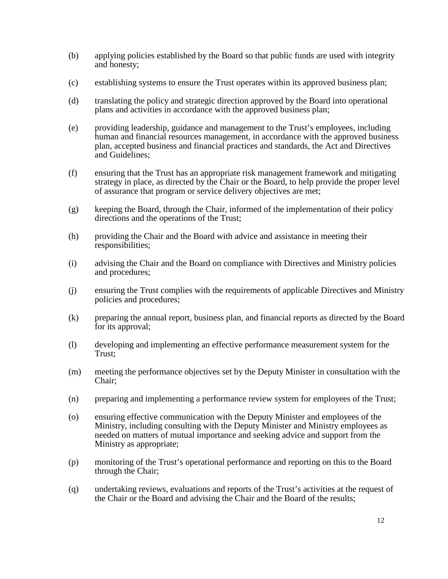- (b) applying policies established by the Board so that public funds are used with integrity and honesty;
- (c) establishing systems to ensure the Trust operates within its approved business plan;
- (d) translating the policy and strategic direction approved by the Board into operational plans and activities in accordance with the approved business plan;
- (e) providing leadership, guidance and management to the Trust's employees, including human and financial resources management, in accordance with the approved business plan, accepted business and financial practices and standards, the Act and Directives and Guidelines;
- (f) ensuring that the Trust has an appropriate risk management framework and mitigating strategy in place, as directed by the Chair or the Board, to help provide the proper level of assurance that program or service delivery objectives are met;
- (g) keeping the Board, through the Chair, informed of the implementation of their policy directions and the operations of the Trust;
- (h) providing the Chair and the Board with advice and assistance in meeting their responsibilities;
- (i) advising the Chair and the Board on compliance with Directives and Ministry policies and procedures;
- (j) ensuring the Trust complies with the requirements of applicable Directives and Ministry policies and procedures;
- (k) preparing the annual report, business plan, and financial reports as directed by the Board for its approval;
- (l) developing and implementing an effective performance measurement system for the Trust;
- (m) meeting the performance objectives set by the Deputy Minister in consultation with the Chair;
- (n) preparing and implementing a performance review system for employees of the Trust;
- (o) ensuring effective communication with the Deputy Minister and employees of the Ministry, including consulting with the Deputy Minister and Ministry employees as needed on matters of mutual importance and seeking advice and support from the Ministry as appropriate;
- (p) monitoring of the Trust's operational performance and reporting on this to the Board through the Chair;
- (q) undertaking reviews, evaluations and reports of the Trust's activities at the request of the Chair or the Board and advising the Chair and the Board of the results;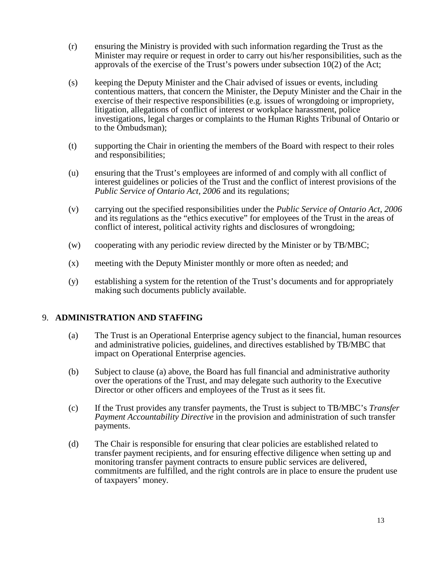- (r) ensuring the Ministry is provided with such information regarding the Trust as the Minister may require or request in order to carry out his/her responsibilities, such as the approvals of the exercise of the Trust's powers under subsection 10(2) of the Act;
- (s) keeping the Deputy Minister and the Chair advised of issues or events, including contentious matters, that concern the Minister, the Deputy Minister and the Chair in the exercise of their respective responsibilities (e.g. issues of wrongdoing or impropriety, litigation, allegations of conflict of interest or workplace harassment, police investigations, legal charges or complaints to the Human Rights Tribunal of Ontario or to the Ombudsman);
- (t) supporting the Chair in orienting the members of the Board with respect to their roles and responsibilities;
- (u) ensuring that the Trust's employees are informed of and comply with all conflict of interest guidelines or policies of the Trust and the conflict of interest provisions of the *Public Service of Ontario Act, 2006* and its regulations;
- (v) carrying out the specified responsibilities under the *Public Service of Ontario Act, 2006* and its regulations as the "ethics executive" for employees of the Trust in the areas of conflict of interest, political activity rights and disclosures of wrongdoing;
- (w) cooperating with any periodic review directed by the Minister or by TB/MBC;
- (x) meeting with the Deputy Minister monthly or more often as needed; and
- (y) establishing a system for the retention of the Trust's documents and for appropriately making such documents publicly available.

### 9. **ADMINISTRATION AND STAFFING**

- (a) The Trust is an Operational Enterprise agency subject to the financial, human resources and administrative policies, guidelines, and directives established by TB/MBC that impact on Operational Enterprise agencies.
- (b) Subject to clause (a) above, the Board has full financial and administrative authority over the operations of the Trust, and may delegate such authority to the Executive Director or other officers and employees of the Trust as it sees fit.
- (c) If the Trust provides any transfer payments, the Trust is subject to TB/MBC's *Transfer Payment Accountability Directive* in the provision and administration of such transfer payments.
- (d) The Chair is responsible for ensuring that clear policies are established related to transfer payment recipients, and for ensuring effective diligence when setting up and monitoring transfer payment contracts to ensure public services are delivered, commitments are fulfilled, and the right controls are in place to ensure the prudent use of taxpayers' money.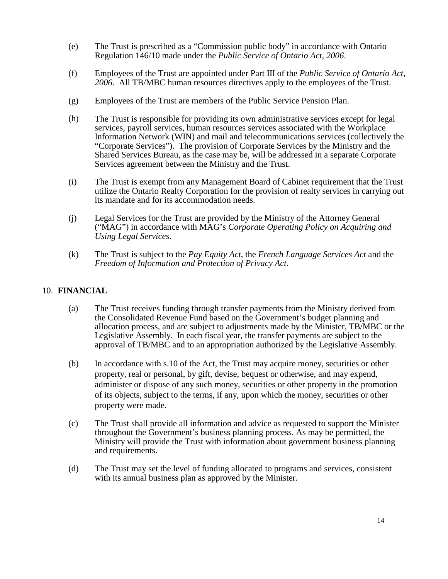- (e) The Trust is prescribed as a "Commission public body" in accordance with Ontario Regulation 146/10 made under the *Public Service of Ontario Act, 2006*.
- (f) Employees of the Trust are appointed under Part III of the *Public Service of Ontario Act, 2006*. All TB/MBC human resources directives apply to the employees of the Trust.
- (g) Employees of the Trust are members of the Public Service Pension Plan.
- (h) The Trust is responsible for providing its own administrative services except for legal services, payroll services, human resources services associated with the Workplace Information Network (WIN) and mail and telecommunications services (collectively the "Corporate Services"). The provision of Corporate Services by the Ministry and the Shared Services Bureau, as the case may be, will be addressed in a separate Corporate Services agreement between the Ministry and the Trust.
- (i) The Trust is exempt from any Management Board of Cabinet requirement that the Trust utilize the Ontario Realty Corporation for the provision of realty services in carrying out its mandate and for its accommodation needs.
- (j) Legal Services for the Trust are provided by the Ministry of the Attorney General ("MAG") in accordance with MAG's *Corporate Operating Policy on Acquiring and Using Legal Services*.
- (k) The Trust is subject to the *Pay Equity Act*, the *French Language Services Act* and the *Freedom of Information and Protection of Privacy Act*.

### 10. **FINANCIAL**

- (a) The Trust receives funding through transfer payments from the Ministry derived from the Consolidated Revenue Fund based on the Government's budget planning and allocation process, and are subject to adjustments made by the Minister, TB/MBC or the Legislative Assembly. In each fiscal year, the transfer payments are subject to the approval of TB/MBC and to an appropriation authorized by the Legislative Assembly.
- (b) In accordance with s.10 of the Act, the Trust may acquire money, securities or other property, real or personal, by gift, devise, bequest or otherwise, and may expend, administer or dispose of any such money, securities or other property in the promotion of its objects, subject to the terms, if any, upon which the money, securities or other property were made.
- (c) The Trust shall provide all information and advice as requested to support the Minister throughout the Government's business planning process. As may be permitted, the Ministry will provide the Trust with information about government business planning and requirements.
- (d) The Trust may set the level of funding allocated to programs and services, consistent with its annual business plan as approved by the Minister.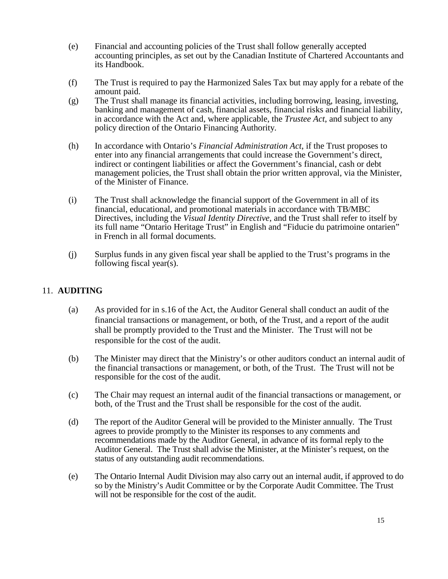- (e) Financial and accounting policies of the Trust shall follow generally accepted accounting principles, as set out by the Canadian Institute of Chartered Accountants and its Handbook.
- (f) The Trust is required to pay the Harmonized Sales Tax but may apply for a rebate of the amount paid.
- (g) The Trust shall manage its financial activities, including borrowing, leasing, investing, banking and management of cash, financial assets, financial risks and financial liability, in accordance with the Act and, where applicable, the *Trustee Act*, and subject to any policy direction of the Ontario Financing Authority.
- (h) In accordance with Ontario's *Financial Administration Act*, if the Trust proposes to enter into any financial arrangements that could increase the Government's direct, indirect or contingent liabilities or affect the Government's financial, cash or debt management policies, the Trust shall obtain the prior written approval, via the Minister, of the Minister of Finance.
- (i) The Trust shall acknowledge the financial support of the Government in all of its financial, educational, and promotional materials in accordance with TB/MBC Directives, including the *Visual Identity Directive*, and the Trust shall refer to itself by its full name "Ontario Heritage Trust" in English and "Fiducie du patrimoine ontarien" in French in all formal documents.
- (j) Surplus funds in any given fiscal year shall be applied to the Trust's programs in the following fiscal year(s).

## 11. **AUDITING**

- (a) As provided for in s.16 of the Act, the Auditor General shall conduct an audit of the financial transactions or management, or both, of the Trust, and a report of the audit shall be promptly provided to the Trust and the Minister. The Trust will not be responsible for the cost of the audit.
- (b) The Minister may direct that the Ministry's or other auditors conduct an internal audit of the financial transactions or management, or both, of the Trust. The Trust will not be responsible for the cost of the audit.
- (c) The Chair may request an internal audit of the financial transactions or management, or both, of the Trust and the Trust shall be responsible for the cost of the audit.
- (d) The report of the Auditor General will be provided to the Minister annually. The Trust agrees to provide promptly to the Minister its responses to any comments and recommendations made by the Auditor General, in advance of its formal reply to the Auditor General. The Trust shall advise the Minister, at the Minister's request, on the status of any outstanding audit recommendations.
- (e) The Ontario Internal Audit Division may also carry out an internal audit, if approved to do so by the Ministry's Audit Committee or by the Corporate Audit Committee. The Trust will not be responsible for the cost of the audit.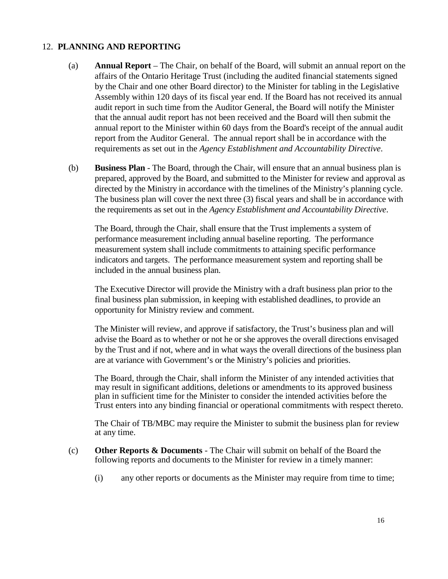### 12. **PLANNING AND REPORTING**

- (a) **Annual Report** The Chair, on behalf of the Board, will submit an annual report on the affairs of the Ontario Heritage Trust (including the audited financial statements signed by the Chair and one other Board director) to the Minister for tabling in the Legislative Assembly within 120 days of its fiscal year end. If the Board has not received its annual audit report in such time from the Auditor General, the Board will notify the Minister that the annual audit report has not been received and the Board will then submit the annual report to the Minister within 60 days from the Board's receipt of the annual audit report from the Auditor General. The annual report shall be in accordance with the requirements as set out in the *Agency Establishment and Accountability Directive*.
- (b) **Business Plan** The Board, through the Chair, will ensure that an annual business plan is prepared, approved by the Board, and submitted to the Minister for review and approval as directed by the Ministry in accordance with the timelines of the Ministry's planning cycle. The business plan will cover the next three (3) fiscal years and shall be in accordance with the requirements as set out in the *Agency Establishment and Accountability Directive*.

The Board, through the Chair, shall ensure that the Trust implements a system of performance measurement including annual baseline reporting. The performance measurement system shall include commitments to attaining specific performance indicators and targets. The performance measurement system and reporting shall be included in the annual business plan.

The Executive Director will provide the Ministry with a draft business plan prior to the final business plan submission, in keeping with established deadlines, to provide an opportunity for Ministry review and comment.

The Minister will review, and approve if satisfactory, the Trust's business plan and will advise the Board as to whether or not he or she approves the overall directions envisaged by the Trust and if not, where and in what ways the overall directions of the business plan are at variance with Government's or the Ministry's policies and priorities.

The Board, through the Chair, shall inform the Minister of any intended activities that may result in significant additions, deletions or amendments to its approved business plan in sufficient time for the Minister to consider the intended activities before the Trust enters into any binding financial or operational commitments with respect thereto.

The Chair of TB/MBC may require the Minister to submit the business plan for review at any time.

- (c) **Other Reports & Documents** The Chair will submit on behalf of the Board the following reports and documents to the Minister for review in a timely manner:
	- (i) any other reports or documents as the Minister may require from time to time;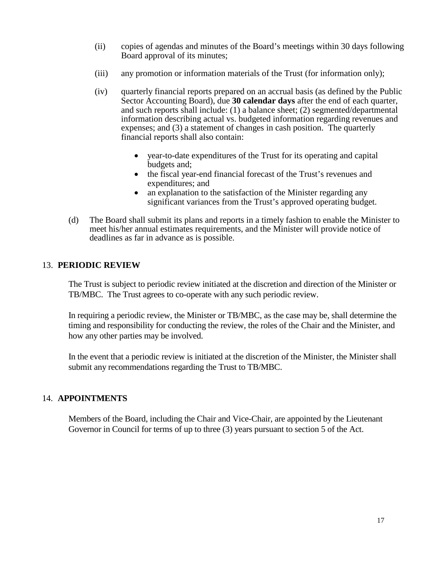- (ii) copies of agendas and minutes of the Board's meetings within 30 days following Board approval of its minutes;
- (iii) any promotion or information materials of the Trust (for information only);
- (iv) quarterly financial reports prepared on an accrual basis (as defined by the Public Sector Accounting Board), due **30 calendar days** after the end of each quarter, and such reports shall include: (1) a balance sheet; (2) segmented/departmental information describing actual vs. budgeted information regarding revenues and expenses; and (3) a statement of changes in cash position. The quarterly financial reports shall also contain:
	- year-to-date expenditures of the Trust for its operating and capital budgets and;
	- the fiscal year-end financial forecast of the Trust's revenues and expenditures; and
	- an explanation to the satisfaction of the Minister regarding any significant variances from the Trust's approved operating budget.
- (d) The Board shall submit its plans and reports in a timely fashion to enable the Minister to meet his/her annual estimates requirements, and the Minister will provide notice of deadlines as far in advance as is possible.

## 13. **PERIODIC REVIEW**

The Trust is subject to periodic review initiated at the discretion and direction of the Minister or TB/MBC. The Trust agrees to co-operate with any such periodic review.

In requiring a periodic review, the Minister or TB/MBC, as the case may be, shall determine the timing and responsibility for conducting the review, the roles of the Chair and the Minister, and how any other parties may be involved.

In the event that a periodic review is initiated at the discretion of the Minister, the Minister shall submit any recommendations regarding the Trust to TB/MBC.

# 14. **APPOINTMENTS**

Members of the Board, including the Chair and Vice-Chair, are appointed by the Lieutenant Governor in Council for terms of up to three (3) years pursuant to section 5 of the Act.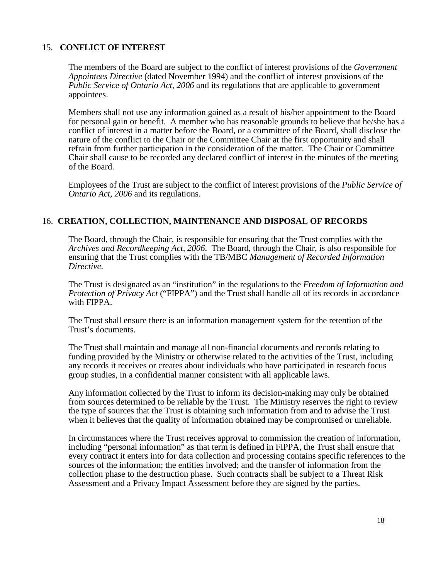#### 15. **CONFLICT OF INTEREST**

The members of the Board are subject to the conflict of interest provisions of the *Government Appointees Directive* (dated November 1994) and the conflict of interest provisions of the *Public Service of Ontario Act, 2006* and its regulations that are applicable to government appointees.

Members shall not use any information gained as a result of his/her appointment to the Board for personal gain or benefit. A member who has reasonable grounds to believe that he/she has a conflict of interest in a matter before the Board, or a committee of the Board, shall disclose the nature of the conflict to the Chair or the Committee Chair at the first opportunity and shall refrain from further participation in the consideration of the matter. The Chair or Committee Chair shall cause to be recorded any declared conflict of interest in the minutes of the meeting of the Board.

Employees of the Trust are subject to the conflict of interest provisions of the *Public Service of Ontario Act, 2006* and its regulations.

#### 16. **CREATION, COLLECTION, MAINTENANCE AND DISPOSAL OF RECORDS**

The Board, through the Chair, is responsible for ensuring that the Trust complies with the *Archives and Recordkeeping Act, 2006*. The Board, through the Chair, is also responsible for ensuring that the Trust complies with the TB/MBC *Management of Recorded Information Directive*.

The Trust is designated as an "institution" in the regulations to the *Freedom of Information and Protection of Privacy Act* ("FIPPA") and the Trust shall handle all of its records in accordance with FIPPA.

The Trust shall ensure there is an information management system for the retention of the Trust's documents.

The Trust shall maintain and manage all non-financial documents and records relating to funding provided by the Ministry or otherwise related to the activities of the Trust, including any records it receives or creates about individuals who have participated in research focus group studies, in a confidential manner consistent with all applicable laws.

Any information collected by the Trust to inform its decision-making may only be obtained from sources determined to be reliable by the Trust. The Ministry reserves the right to review the type of sources that the Trust is obtaining such information from and to advise the Trust when it believes that the quality of information obtained may be compromised or unreliable.

In circumstances where the Trust receives approval to commission the creation of information, including "personal information" as that term is defined in FIPPA, the Trust shall ensure that every contract it enters into for data collection and processing contains specific references to the sources of the information; the entities involved; and the transfer of information from the collection phase to the destruction phase. Such contracts shall be subject to a Threat Risk Assessment and a Privacy Impact Assessment before they are signed by the parties.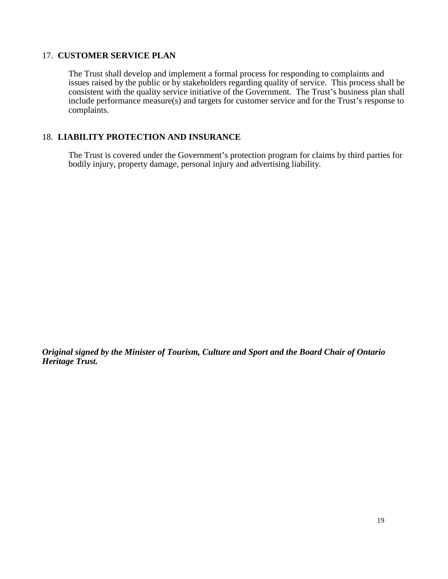### 17. **CUSTOMER SERVICE PLAN**

The Trust shall develop and implement a formal process for responding to complaints and issues raised by the public or by stakeholders regarding quality of service. This process shall be consistent with the quality service initiative of the Government. The Trust's business plan shall include performance measure(s) and targets for customer service and for the Trust's response to complaints.

## 18. **LIABILITY PROTECTION AND INSURANCE**

The Trust is covered under the Government's protection program for claims by third parties for bodily injury, property damage, personal injury and advertising liability.

*Original signed by the Minister of Tourism, Culture and Sport and the Board Chair of Ontario Heritage Trust.*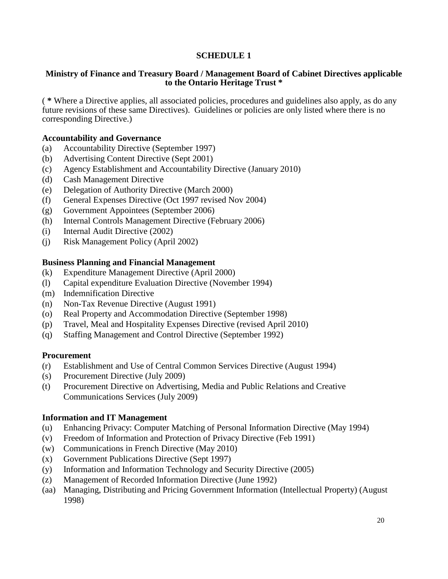## **SCHEDULE 1**

#### **Ministry of Finance and Treasury Board / Management Board of Cabinet Directives applicable to the Ontario Heritage Trust \***

( **\*** Where a Directive applies, all associated policies, procedures and guidelines also apply, as do any future revisions of these same Directives). Guidelines or policies are only listed where there is no corresponding Directive.)

### **Accountability and Governance**

- (a) Accountability Directive (September 1997)
- (b) Advertising Content Directive (Sept 2001)
- (c) Agency Establishment and Accountability Directive (January 2010)
- (d) Cash Management Directive
- (e) Delegation of Authority Directive (March 2000)
- (f) General Expenses Directive (Oct 1997 revised Nov 2004)
- (g) Government Appointees (September 2006)
- (h) Internal Controls Management Directive (February 2006)
- (i) Internal Audit Directive (2002)
- (j) Risk Management Policy (April 2002)

#### **Business Planning and Financial Management**

- (k) Expenditure Management Directive (April 2000)
- (l) Capital expenditure Evaluation Directive (November 1994)
- (m) Indemnification Directive
- (n) Non-Tax Revenue Directive (August 1991)
- (o) Real Property and Accommodation Directive (September 1998)
- (p) Travel, Meal and Hospitality Expenses Directive (revised April 2010)
- (q) Staffing Management and Control Directive (September 1992)

#### **Procurement**

- (r) Establishment and Use of Central Common Services Directive (August 1994)
- (s) Procurement Directive (July 2009)
- (t) Procurement Directive on Advertising, Media and Public Relations and Creative Communications Services (July 2009)

#### **Information and IT Management**

- (u) Enhancing Privacy: Computer Matching of Personal Information Directive (May 1994)
- (v) Freedom of Information and Protection of Privacy Directive (Feb 1991)
- (w) Communications in French Directive (May 2010)
- (x) Government Publications Directive (Sept 1997)
- (y) Information and Information Technology and Security Directive (2005)
- (z) Management of Recorded Information Directive (June 1992)
- (aa) Managing, Distributing and Pricing Government Information (Intellectual Property) (August 1998)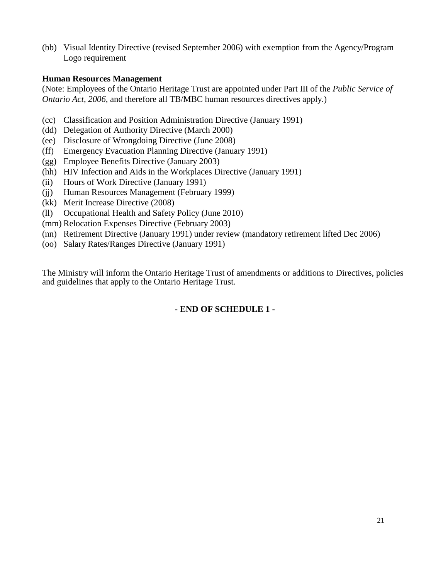(bb) Visual Identity Directive (revised September 2006) with exemption from the Agency/Program Logo requirement

## **Human Resources Management**

(Note: Employees of the Ontario Heritage Trust are appointed under Part III of the *Public Service of Ontario Act, 2006,* and therefore all TB/MBC human resources directives apply.)

- (cc) Classification and Position Administration Directive (January 1991)
- (dd) Delegation of Authority Directive (March 2000)
- (ee) Disclosure of Wrongdoing Directive (June 2008)
- (ff) Emergency Evacuation Planning Directive (January 1991)
- (gg) Employee Benefits Directive (January 2003)
- (hh) HIV Infection and Aids in the Workplaces Directive (January 1991)
- (ii) Hours of Work Directive (January 1991)
- (jj) Human Resources Management (February 1999)
- (kk) Merit Increase Directive (2008)
- (ll) Occupational Health and Safety Policy (June 2010)
- (mm) Relocation Expenses Directive (February 2003)
- (nn) Retirement Directive (January 1991) under review (mandatory retirement lifted Dec 2006)
- (oo) Salary Rates/Ranges Directive (January 1991)

The Ministry will inform the Ontario Heritage Trust of amendments or additions to Directives, policies and guidelines that apply to the Ontario Heritage Trust.

# **- END OF SCHEDULE 1 -**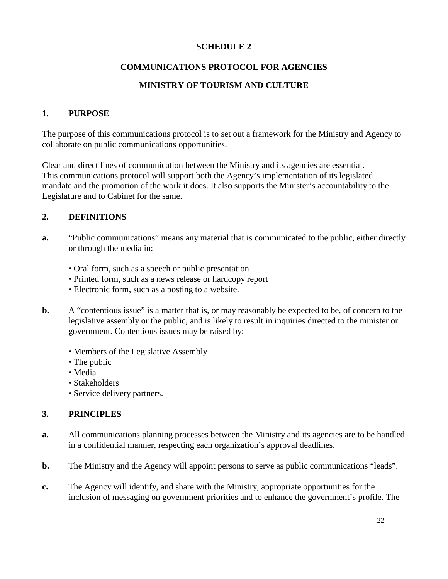## **SCHEDULE 2**

# **COMMUNICATIONS PROTOCOL FOR AGENCIES**

# **MINISTRY OF TOURISM AND CULTURE**

# **1. PURPOSE**

The purpose of this communications protocol is to set out a framework for the Ministry and Agency to collaborate on public communications opportunities.

Clear and direct lines of communication between the Ministry and its agencies are essential. This communications protocol will support both the Agency's implementation of its legislated mandate and the promotion of the work it does. It also supports the Minister's accountability to the Legislature and to Cabinet for the same.

# **2. DEFINITIONS**

- **a.** "Public communications" means any material that is communicated to the public, either directly or through the media in:
	- Oral form, such as a speech or public presentation
	- Printed form, such as a news release or hardcopy report
	- Electronic form, such as a posting to a website.
- **b.** A "contentious issue" is a matter that is, or may reasonably be expected to be, of concern to the legislative assembly or the public, and is likely to result in inquiries directed to the minister or government. Contentious issues may be raised by:
	- Members of the Legislative Assembly
	- The public
	- Media
	- Stakeholders
	- Service delivery partners.

# **3. PRINCIPLES**

- **a.** All communications planning processes between the Ministry and its agencies are to be handled in a confidential manner, respecting each organization's approval deadlines.
- **b.** The Ministry and the Agency will appoint persons to serve as public communications "leads".
- **c.** The Agency will identify, and share with the Ministry, appropriate opportunities for the inclusion of messaging on government priorities and to enhance the government's profile. The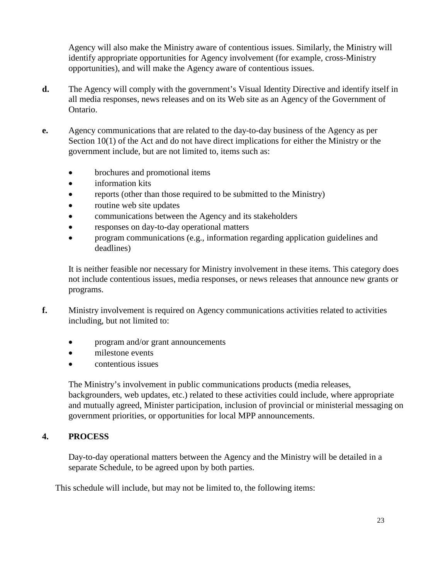Agency will also make the Ministry aware of contentious issues. Similarly, the Ministry will identify appropriate opportunities for Agency involvement (for example, cross-Ministry opportunities), and will make the Agency aware of contentious issues.

- **d.** The Agency will comply with the government's Visual Identity Directive and identify itself in all media responses, news releases and on its Web site as an Agency of the Government of Ontario.
- **e.** Agency communications that are related to the day-to-day business of the Agency as per Section 10(1) of the Act and do not have direct implications for either the Ministry or the government include, but are not limited to, items such as:
	- brochures and promotional items
	- information kits
	- reports (other than those required to be submitted to the Ministry)
	- routine web site updates
	- communications between the Agency and its stakeholders
	- responses on day-to-day operational matters
	- program communications (e.g., information regarding application guidelines and deadlines)

It is neither feasible nor necessary for Ministry involvement in these items. This category does not include contentious issues, media responses, or news releases that announce new grants or programs.

- **f.** Ministry involvement is required on Agency communications activities related to activities including, but not limited to:
	- program and/or grant announcements
	- milestone events
	- contentious issues

The Ministry's involvement in public communications products (media releases, backgrounders, web updates, etc.) related to these activities could include, where appropriate and mutually agreed, Minister participation, inclusion of provincial or ministerial messaging on government priorities, or opportunities for local MPP announcements.

## **4. PROCESS**

Day-to-day operational matters between the Agency and the Ministry will be detailed in a separate Schedule, to be agreed upon by both parties.

This schedule will include, but may not be limited to, the following items: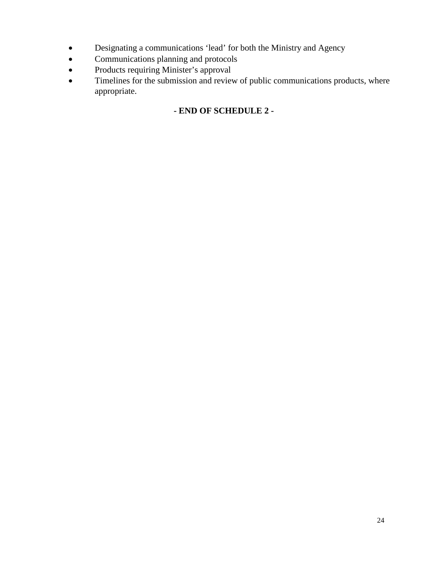- Designating a communications 'lead' for both the Ministry and Agency
- Communications planning and protocols
- Products requiring Minister's approval
- Timelines for the submission and review of public communications products, where appropriate.

# **- END OF SCHEDULE 2 -**